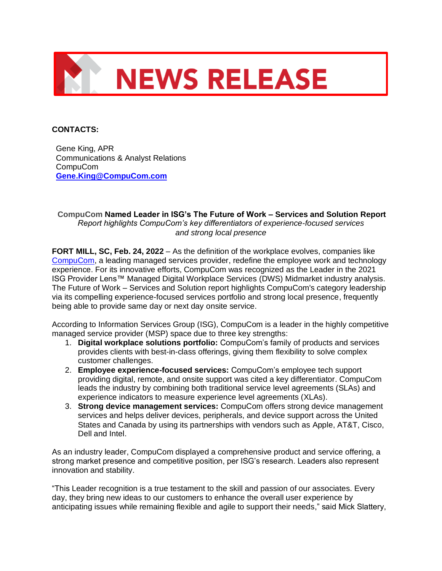

## **CONTACTS:**

Gene King, APR Communications & Analyst Relations CompuCom **[Gene.King@CompuCom.com](mailto:Gene.King@CompuCom.com)**

**CompuCom Named Leader in ISG's The Future of Work – Services and Solution Report** *Report highlights CompuCom's key differentiators of experience-focused services and strong local presence*

**FORT MILL, SC, Feb. 24, 2022** *–* As the definition of the workplace evolves, companies like [CompuCom,](https://www.compucom.com/) a leading managed services provider, redefine the employee work and technology experience. For its innovative efforts, CompuCom was recognized as the Leader in the 2021 ISG Provider Lens™ Managed Digital Workplace Services (DWS) Midmarket industry analysis. The Future of Work – Services and Solution report highlights CompuCom's category leadership via its compelling experience-focused services portfolio and strong local presence, frequently being able to provide same day or next day onsite service.

According to Information Services Group (ISG), CompuCom is a leader in the highly competitive managed service provider (MSP) space due to three key strengths:

- 1. **Digital workplace solutions portfolio:** CompuCom's family of products and services provides clients with best-in-class offerings, giving them flexibility to solve complex customer challenges.
- 2. **Employee experience-focused services:** CompuCom's employee tech support providing digital, remote, and onsite support was cited a key differentiator. CompuCom leads the industry by combining both traditional service level agreements (SLAs) and experience indicators to measure experience level agreements (XLAs).
- 3. **Strong device management services:** CompuCom offers strong device management services and helps deliver devices, peripherals, and device support across the United States and Canada by using its partnerships with vendors such as Apple, AT&T, Cisco, Dell and Intel.

As an industry leader, CompuCom displayed a comprehensive product and service offering, a strong market presence and competitive position, per ISG's research. Leaders also represent innovation and stability.

"This Leader recognition is a true testament to the skill and passion of our associates. Every day, they bring new ideas to our customers to enhance the overall user experience by anticipating issues while remaining flexible and agile to support their needs," said Mick Slattery,